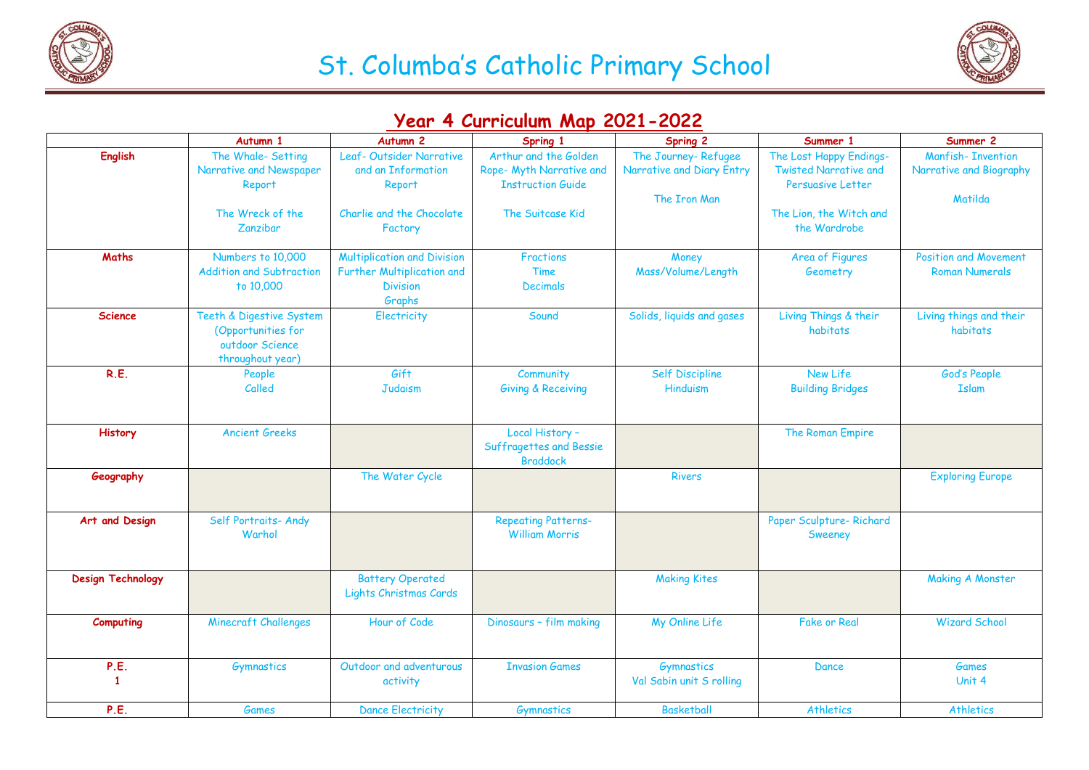



## **Year 4 Curriculum Map 2021-2022**

|                          | Autumn 1                                                                                | Autumn <sub>2</sub>                                                                             | Spring 1                                                                                          | <b>Spring 2</b>                                                  | Summer 1                                                                                                                       | Summer 2                                                       |
|--------------------------|-----------------------------------------------------------------------------------------|-------------------------------------------------------------------------------------------------|---------------------------------------------------------------------------------------------------|------------------------------------------------------------------|--------------------------------------------------------------------------------------------------------------------------------|----------------------------------------------------------------|
| <b>English</b>           | The Whale- Setting<br>Narrative and Newspaper<br>Report<br>The Wreck of the<br>Zanzibar | Leaf-Outsider Narrative<br>and an Information<br>Report<br>Charlie and the Chocolate<br>Factory | Arthur and the Golden<br>Rope- Myth Narrative and<br><b>Instruction Guide</b><br>The Suitcase Kid | The Journey-Refugee<br>Narrative and Diary Entry<br>The Iron Man | The Lost Happy Endings-<br><b>Twisted Narrative and</b><br><b>Persuasive Letter</b><br>The Lion, the Witch and<br>the Wardrobe | <b>Manfish-Invention</b><br>Narrative and Biography<br>Matilda |
| <b>Maths</b>             | Numbers to 10,000<br><b>Addition and Subtraction</b><br>to 10,000                       | <b>Multiplication and Division</b><br>Further Multiplication and<br><b>Division</b>             | <b>Fractions</b><br>Time<br><b>Decimals</b>                                                       | Money<br>Mass/Volume/Length                                      | Area of Figures<br>Geometry                                                                                                    | <b>Position and Movement</b><br><b>Roman Numerals</b>          |
| <b>Science</b>           | Teeth & Digestive System<br>(Opportunities for<br>outdoor Science<br>throughout year)   | Graphs<br>Electricity                                                                           | Sound                                                                                             | Solids, liquids and gases                                        | Living Things & their<br>habitats                                                                                              | Living things and their<br>habitats                            |
| R.E.                     | People<br>Called                                                                        | Gift<br><b>Judaism</b>                                                                          | Community<br><b>Giving &amp; Receiving</b>                                                        | Self Discipline<br>Hinduism                                      | New Life<br><b>Building Bridges</b>                                                                                            | God's People<br><b>Islam</b>                                   |
| History                  | <b>Ancient Greeks</b>                                                                   |                                                                                                 | Local History -<br>Suffragettes and Bessie<br><b>Braddock</b>                                     |                                                                  | The Roman Empire                                                                                                               |                                                                |
| Geography                |                                                                                         | The Water Cycle                                                                                 |                                                                                                   | <b>Rivers</b>                                                    |                                                                                                                                | <b>Exploring Europe</b>                                        |
| Art and Design           | Self Portraits- Andy<br>Warhol                                                          |                                                                                                 | <b>Repeating Patterns-</b><br><b>William Morris</b>                                               |                                                                  | Paper Sculpture-Richard<br>Sweeney                                                                                             |                                                                |
| <b>Design Technology</b> |                                                                                         | <b>Battery Operated</b><br>Lights Christmas Cards                                               |                                                                                                   | <b>Making Kites</b>                                              |                                                                                                                                | <b>Making A Monster</b>                                        |
| Computing                | <b>Minecraft Challenges</b>                                                             | Hour of Code                                                                                    | Dinosaurs - film making                                                                           | My Online Life                                                   | <b>Fake or Real</b>                                                                                                            | <b>Wizard School</b>                                           |
| P.E.<br>$\mathbf{1}$     | Gymnastics                                                                              | Outdoor and adventurous<br>activity                                                             | <b>Invasion Games</b>                                                                             | Gymnastics<br>Val Sabin unit S rolling                           | Dance                                                                                                                          | <b>Games</b><br>Unit 4                                         |
| P.E.                     | Games                                                                                   | <b>Dance Electricity</b>                                                                        | Gymnastics                                                                                        | <b>Basketball</b>                                                | <b>Athletics</b>                                                                                                               | Athletics                                                      |